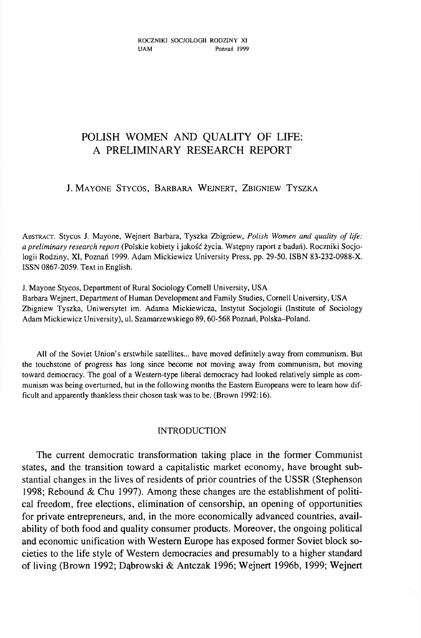# **POLISH WOMEN AND QUALITY OF LIFE: A PRELIMINARY RESEARCH REPORT**

# J. MAYONE STYCOS, BARBARA WEJNERT, ZBIGNIEW TYSZKA

ABSTRACT. Stycos J. Mayone, Wejnert Barbara, Tyszka Zbigniew, *Polish Women and quality of life: a preliminary research report* (Polskie kobiety i jakość życia. W stępny raport z badań). Roczniki Socjologii Rodziny, XI, Poznań 1999. Adam Mickiewicz University Press, pp. 29-50. ISBN 83-232-0988-X. ISSN 0867-2059. Text in English.

J. Mayone Stycos, Department of Rural Sociology Cornell University, USA

Barbara Wejnert, Department of Human Development and Family Studies, Cornell University, USA Zbigniew Tyszka, Uniwersytet im. Adama Mickiewicza, Instytut Socjologii (Institute of Sociology Adam Mickiewicz University), ul. Szamarzewskiego 89,60-568 Poznan, Polska-Poland.

All of the Soviet Union's erstwhile satellites... have moved definitely away from communism. But the touchstone of progress has long since become not moving away from communism, but moving toward democracy. The goal of a Western-type liberal democracy had looked relatively simple as communism was being overturned, but in the following months the Eastern Europeans were to learn how difficult and apparently thankless their chosen task was to be. (Brown 1992:16).

# INTRODUCTION

The current democratic transformation taking place in the former Communist states, and the transition toward a capitalistic market economy, have brought substantial changes in the lives of residents of prior countries of the USSR (Stephenson 1998; Rebound & Chu 1997). Among these changes are the establishment of political freedom, free elections, elimination of censorship, an opening of opportunities for private entrepreneurs, and, in the more economically advanced countries, availability of both food and quality consumer products. Moreover, the ongoing political and economic unification with W estern Europe has exposed former Soviet block societies to the life style of Western democracies and presumably to a higher standard of living (Brown 1992; Dąbrowski & Antczak 1996; W ejnert 1996b, 1999; W ejnert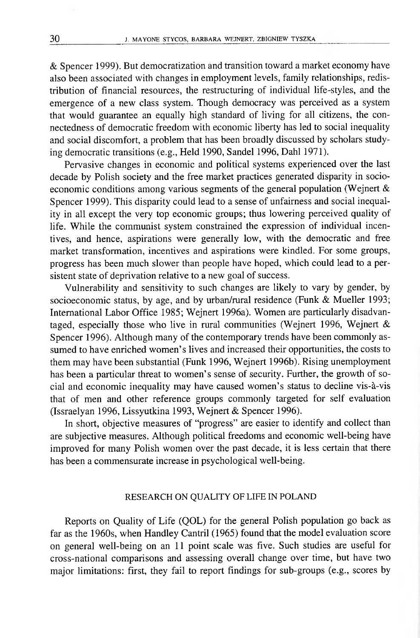& Spencer 1999). But democratization and transition toward a market economy have also been associated with changes in employment levels, family relationships, redistribution of financial resources, the restructuring of individual life-styles, and the emergence of a new class system. Though democracy was perceived as a system that would guarantee an equally high standard of living for all citizens, the connectedness of democratic freedom with economic liberty has led to social inequality and social discomfort, a problem that has been broadly discussed by scholars studying democratic transitions (e.g., Held 1990, Sandel 1996, Dahl 1971).

Pervasive changes in economic and political systems experienced over the last decade by Polish society and the free market practices generated disparity in socioeconomic conditions among various segments of the general population (Wejnert & Spencer 1999). This disparity could lead to a sense of unfairness and social inequality in all except the very top economic groups; thus lowering perceived quality of life. While the communist system constrained the expression of individual incentives, and hence, aspirations were generally low, with the democratic and free market transformation, incentives and aspirations were kindled. For some groups, progress has been much slower than people have hoped, which could lead to a persistent state of deprivation relative to a new goal of success.

Vulnerability and sensitivity to such changes are likely to vary by gender, by socioeconomic status, by age, and by urban/rural residence (Funk & Mueller 1993; International Labor Office 1985; Wejnert 1996a). Women are particularly disadvantaged, especially those who live in rural communities (Wejnert 1996, Wejnert & Spencer 1996). Although many of the contemporary trends have been commonly assumed to have enriched women's lives and increased their opportunities, the costs to them may have been substantial (Funk 1996, W ejnert 1996b). Rising unemployment has been a particular threat to women's sense of security. Further, the growth of social and economic inequality may have caused women's status to decline vis-à-vis that of men and other reference groups commonly targeted for self evaluation (Issraelyan 1996, Lissyutkina 1993, Wejnert & Spencer 1996).

In short, objective measures of "progress" are easier to identify and collect than are subjective measures. Although political freedoms and economic well-being have improved for many Polish women over the past decade, it is less certain that there has been a commensurate increase in psychological well-being.

## RESEARCH ON QUALITY OF LIFE IN POLAND

Reports on Quality of Life (QOL) for the general Polish population go back as far as the 1960s, when Handley Cantril (1965) found that the model evaluation score on general well-being on an 11 point scale was five. Such studies are useful for cross-national com parisons and assessing overall change over time, but have two major limitations: first, they fail to report findings for sub-groups (e.g., scores by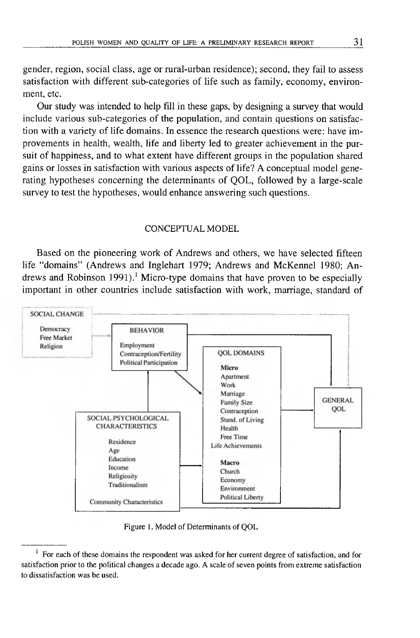gender, region, social class, age or rural-urban residence); second, they fail to assess satisfaction with different sub-categories of life such as family, economy, environment, etc.

Our study was intended to help fill in these gaps, by designing a survey that would include various sub-categories of the population, and contain questions on satisfaction with a variety of life domains. In essence the research questions were: have improvements in health, wealth, life and liberty led to greater achievement in the pursuit of happiness, and to what extent have different groups in the population shared gains or losses in satisfaction with various aspects of life? A conceptual model generating hypotheses concerning the determinants of QOL, followed by a large-scale survey to test the hypotheses, would enhance answering such questions.

## CONCEPTUAL MODEL

Based on the pioneering work of Andrews and others, we have selected fifteen life "domains" (Andrews and Inglehart 1979; Andrews and McKennel 1980; Andrews and Robinson 1991).<sup>1</sup> Micro-type domains that have proven to be especially important in other countries include satisfaction with work, marriage, standard of



Figure 1. Model of Determinants of QOL

 $<sup>1</sup>$  For each of these domains the respondent was asked for her current degree of satisfaction, and for</sup> satisfaction prior to the political changes a decade ago. A scale of seven points from extreme satisfaction to dissatisfaction was be used.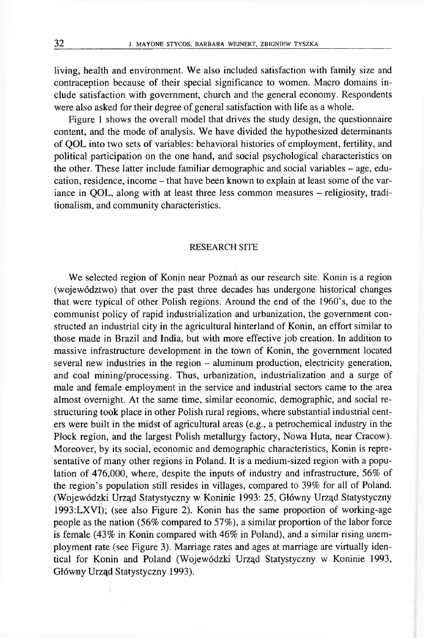living, health and environment. We also included satisfaction with family size and contraception because of their special significance to women. Macro domains include satisfaction with government, church and the general economy. Respondents were also asked for their degree of general satisfaction with life as a whole.

Figure 1 shows the overall model that drives the study design, the questionnaire content, and the mode of analysis. We have divided the hypothesized determinants of QOL into two sets of variables: behavioral histories of employment, fertility, and political participation on the one hand, and social psychological characteristics on the other. These latter include familiar demographic and social variables – age, education, residence, income - that have been known to explain at least some of the variance in QOL, along with at least three less common measures – religiosity, traditionalism, and community characteristics.

#### RESEARCH SITE

We selected region of Konin near Poznań as our research site. Konin is a region (województwo) that over the past three decades has undergone historical changes that were typical of other Polish regions. Around the end of the 1960's, due to the communist policy of rapid industrialization and urbanization, the government constructed an industrial city in the agricultural hinterland of Konin, an effort similar to those made in Brazil and India, but with more effective job creation. In addition to massive infrastructure development in the town of Konin, the government located several new industries in the region - aluminum production, electricity generation, and coal mining/processing. Thus, urbanization, industrialization and a surge of male and female employment in the service and industrial sectors came to the area alm ost overnight. At the same time, similar economic, demographic, and social restructuring took place in other Polish rural regions, where substantial industrial centers were built in the midst of agricultural areas (e.g., a petrochemical industry in the Plock region, and the largest Polish metallurgy factory, Nowa Huta, near Cracow). Moreover, by its social, economic and demographic characteristics, Konin is representative of many other regions in Poland. It is a medium-sized region with a population of 476,000, where, despite the inputs of industry and infrastructure,  $56\%$  of the region's population still resides in villages, compared to 39% for all of Poland. (W ojewódzki Urząd Statystyczny w Koninie 1993: 25, Główny Urząd Statystyczny 1993:LXVI); (see also Figure 2). Konin has the same proportion of working-age people as the nation (56% compared to 57%), a similar proportion of the labor force is female  $(43\%$  in Konin compared with  $46\%$  in Poland), and a similar rising unemployment rate (see Figure 3). Marriage rates and ages at marriage are virtually identical for Konin and Poland (Wojewódzki Urząd Statystyczny w Koninie 1993, Główny Urząd Statystyczny 1993).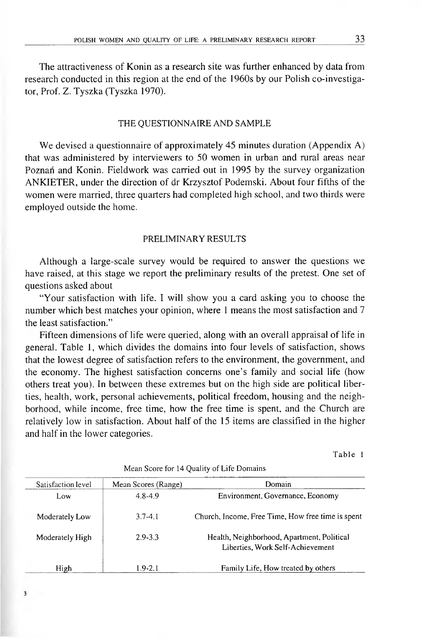The attractiveness of Konin as a research site was further enhanced by data from research conducted in this region at the end of the 1960s by our Polish co-investigator, Prof. Z. Tyszka (Tyszka 1970).

## THE QUESTIONNAIRE AND SAMPLE

We devised a questionnaire of approximately 45 minutes duration (Appendix A) that was administered by interviewers to 50 women in urban and rural areas near Poznan and Konin. Fieldwork was carried out in 1995 by the survey organization ANKIETER, under the direction of dr Krzysztof Podemski. About four fifths of the women were married, three quarters had completed high school, and two thirds were employed outside the home.

# PRELIMINARY RESULTS

Although a large-scale survey would be required to answer the questions we have raised, at this stage we report the preliminary results of the pretest. One set of questions asked about

"Your satisfaction with life. I will show you a card asking you to choose the number which best matches your opinion, where 1 means the most satisfaction and 7 the least satisfaction."

Fifteen dimensions of life were queried, along with an overall appraisal of life in general. Table 1, which divides the domains into four levels of satisfaction, shows that the lowest degree of satisfaction refers to the environment, the government, and the economy. The highest satisfaction concerns one's family and social life (how others treat you). In between these extremes but on the high side are political liberties, health, work, personal achievements, political freedom, housing and the neighborhood, while income, free time, how the free time is spent, and the Church are relatively low in satisfaction. About half of the 15 items are classified in the higher and half in the lower categories.

Table 1

| Satisfaction level | Mean Scores (Range) | Domain                                                                         |
|--------------------|---------------------|--------------------------------------------------------------------------------|
| Low.               | $4.8 - 4.9$         | Environment, Governance, Economy                                               |
| Moderately Low     | $3.7 - 4.1$         | Church, Income, Free Time, How free time is spent                              |
| Moderately High    | $2.9 - 3.3$         | Health, Neighborhood, Apartment, Political<br>Liberties, Work Self-Achievement |
| High               | $1.9 - 2.1$         | Family Life, How treated by others                                             |

 $\overline{\mathbf{3}}$ 

Mean Score for 14 Quality of Life Domains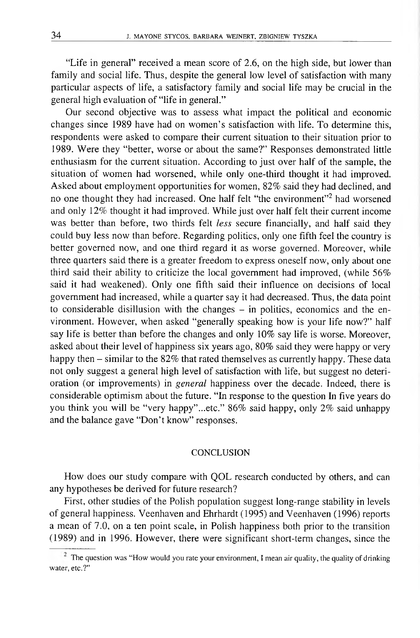"Life in general" received a mean score of 2.6, on the high side, but lower than family and social life. Thus, despite the general low level of satisfaction with many particular aspects of life, a satisfactory family and social life may be crucial in the general high evaluation of "life in general."

Our second objective was to assess what impact the political and economic changes since 1989 have had on women's satisfaction with life. To determine this, respondents were asked to compare their current situation to their situation prior to 1989. Were they "better, worse or about the same?" Responses demonstrated little enthusiasm for the current situation. According to just over half of the sample, the situation of women had worsened, while only one-third thought it had improved. Asked about employment opportunities for women, 82% said they had declined, and no one thought they had increased. One half felt "the environment"2 had worsened and only 12% thought it had improved. While just over half felt their current income was better than before, two thirds felt *less* secure financially, and half said they could buy less now than before. Regarding politics, only one fifth feel the country is better governed now, and one third regard it as worse governed. Moreover, while three quarters said there is a greater freedom to express oneself now, only about one third said their ability to criticize the local government had improved, (while 56% said it had weakened). Only one fifth said their influence on decisions of local government had increased, while a quarter say it had decreased. Thus, the data point to considerable disillusion with the changes  $-$  in politics, economics and the environment. However, when asked "generally speaking how is your life now?" half say life is better than before the changes and only 10% say life is worse. Moreover, asked about their level of happiness six years ago, 80% said they were happy or very happy then – similar to the 82% that rated themselves as currently happy. These data not only suggest a general high level of satisfaction with life, but suggest no deterioration (or improvements) in *general* happiness over the decade. Indeed, there is considerable optimism about the future. "In response to the question In five years do you think you will be "very happy" ...etc." 86% said happy, only 2% said unhappy and the balance gave "Don't know" responses.

## **CONCLUSION**

How does our study compare with QOL research conducted by others, and can any hypotheses be derived for future research?

First, other studies of the Polish population suggest long-range stability in levels of general happiness. Veenhaven and Ehrhardt (1995) and Veenhaven (1996) reports a mean of 7.0, on a ten point scale, in Polish happiness both prior to the transition (1989) and in 1996. However, there were significant short-term changes, since the

 $2$  The question was "How would you rate your environment, I mean air quality, the quality of drinking water, etc.?"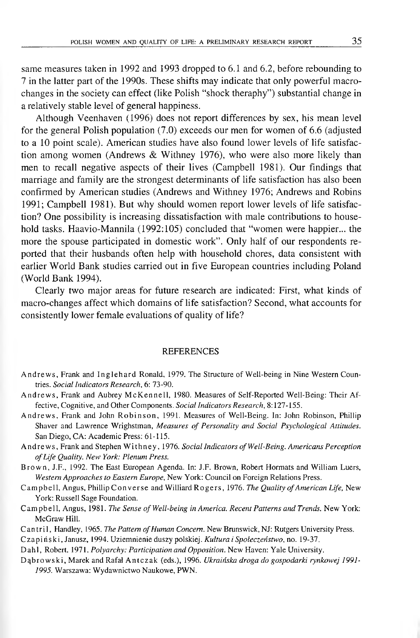same measures taken in 1992 and 1993 dropped to 6.1 and 6.2, before rebounding to 7 in the latter part of the 1990s. These shifts may indicate that only powerful m acrochanges in the society can effect (like Polish "shock theraphy") substantial change in a relatively stable level of general happiness.

Although Veenhaven (1996) does not report differences by sex, his mean level for the general Polish population (7.0) exceeds our men for women of 6.6 (adjusted to a 10 point scale). American studies have also found lower levels of life satisfaction among women (Andrews  $&$  Withney 1976), who were also more likely than men to recall negative aspects of their lives (Campbell 1981). Our findings that marriage and family are the strongest determinants of life satisfaction has also been confirmed by American studies (Andrews and Withney 1976; Andrews and Robins 1991; Campbell 1981). But why should women report lower levels of life satisfaction? One possibility is increasing dissatisfaction with male contributions to household tasks. Haavio-Mannila (1992:105) concluded that "women were happier... the more the spouse participated in domestic work". Only half of our respondents reported that their husbands often help with household chores, data consistent with earlier World Bank studies carried out in five European countries including Poland (World Bank 1994).

Clearly two major areas for future research are indicated: First, what kinds of macro-changes affect which domains of life satisfaction? Second, what accounts for consistently lower female evaluations of quality of life?

#### **REFERENCES**

- Andrews, Frank and Inglehard Ronald, 1979. The Structure of Well-being in Nine Western Countries. *Social Indicators Research,* 6: 73-90.
- Andrews, Frank and Aubrey McKennell, 1980. Measures of Self-Reported Well-Being: Their Affective, Cognitive, and Other Components. *Social Indicators Research,* 8:127-155.
- Andrews, Frank and John Robinson, 1991. Measures of Well-Being. In: John Robinson, Phillip Shaver and Lawrence Wrighstman, *Measures of Personality and Social Psychological Attitudes.* San Diego, CA: Academic Press: 61-115.
- Andrews, Frank and Stephen Withney, 1976. *Social Indicators of Well-Being. Americans Perception* of Life Quality. New York: Plenum Press.
- Brown, J.F., 1992. The East European Agenda. In: J.F. Brown, Robert Hormats and William Luers, *Western Approaches to Eastern Europe,* New York: Council on Foreign Relations Press.
- Campbell, Angus, Phillip Converse and Williard Rogers, 1976. *The Quality of American Life*, New York: Russell Sage Foundation.
- Campbell, Angus, 1981. *The Sense of Well-being in America. Recent Patterns and Trends*. New York: McGraw Hill.
- Cantril, Handley, 1965. *The Pattern of Human Concern*. New Brunswick, NJ: Rutgers University Press.

C z a p iń s k i, Janusz, 1994. Uziemnienie duszy polskiej. *Kultura i Społeczeństwo,* no. 19-37.

Dahl, Robert. 1971. *Polyarchy: Participation and Opposition*. New Haven: Yale University.

Dąbrowski, Marek and Rafał Antczak (eds.), 1996. *Ukraińska droga do gospodarki rynkowej 1991-1995.* Warszawa: Wydawnictwo Naukowe, PWN.